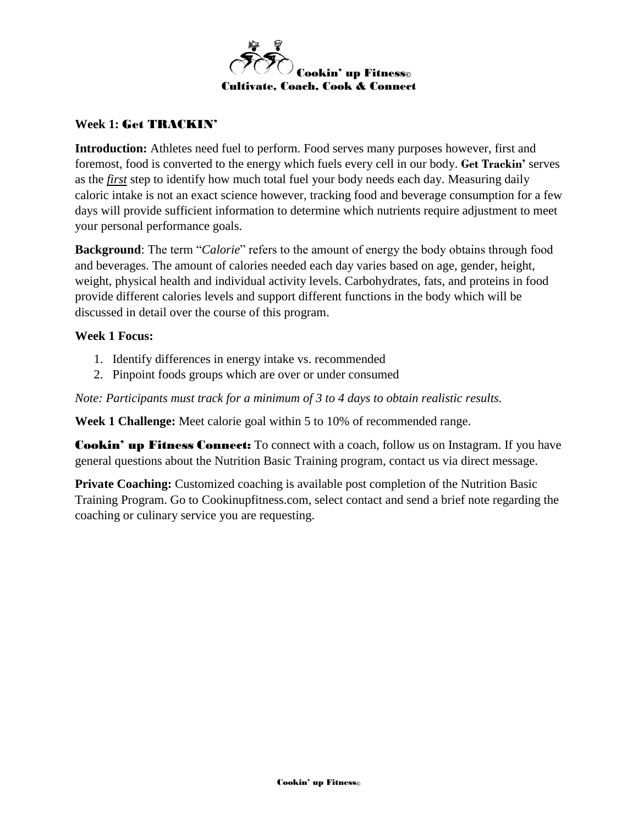

## **Week 1:** Get TRACKIN'

**Introduction:** Athletes need fuel to perform. Food serves many purposes however, first and foremost, food is converted to the energy which fuels every cell in our body. **Get Trackin'** serves as the *first* step to identify how much total fuel your body needs each day. Measuring daily caloric intake is not an exact science however, tracking food and beverage consumption for a few days will provide sufficient information to determine which nutrients require adjustment to meet your personal performance goals.

**Background**: The term "*Calorie*" refers to the amount of energy the body obtains through food and beverages. The amount of calories needed each day varies based on age, gender, height, weight, physical health and individual activity levels. Carbohydrates, fats, and proteins in food provide different calories levels and support different functions in the body which will be discussed in detail over the course of this program.

### **Week 1 Focus:**

- 1. Identify differences in energy intake vs. recommended
- 2. Pinpoint foods groups which are over or under consumed

*Note: Participants must track for a minimum of 3 to 4 days to obtain realistic results.*

**Week 1 Challenge:** Meet calorie goal within 5 to 10% of recommended range.

**Cookin' up Fitness Connect:** To connect with a coach, follow us on Instagram. If you have general questions about the Nutrition Basic Training program, contact us via direct message.

**Private Coaching:** Customized coaching is available post completion of the Nutrition Basic Training Program. Go to Cookinupfitness.com, select contact and send a brief note regarding the coaching or culinary service you are requesting.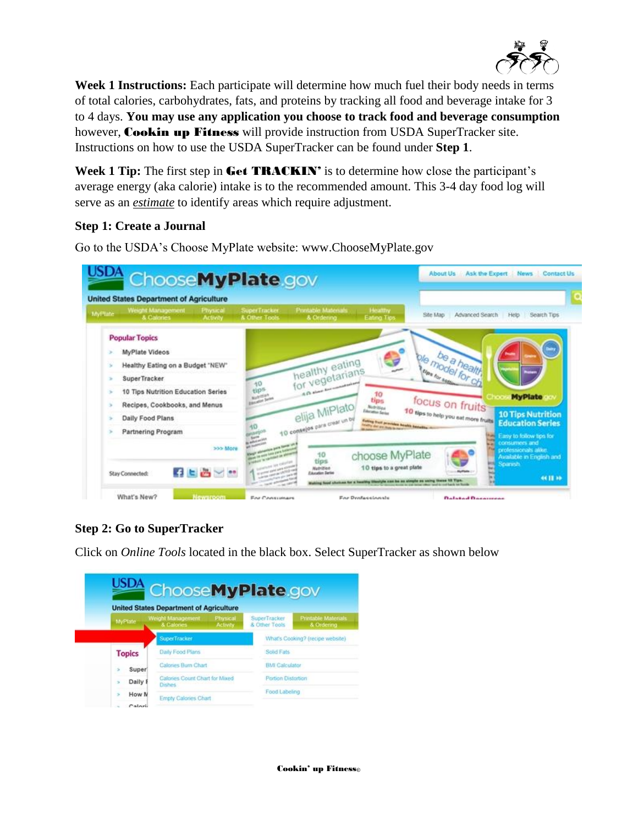

**Week 1 Instructions:** Each participate will determine how much fuel their body needs in terms of total calories, carbohydrates, fats, and proteins by tracking all food and beverage intake for 3 to 4 days. **You may use any application you choose to track food and beverage consumption** however, Cookin up Fitness will provide instruction from USDA SuperTracker site. Instructions on how to use the USDA SuperTracker can be found under **Step 1**.

Week 1 Tip: The first step in Get **TRACKIN'** is to determine how close the participant's average energy (aka calorie) intake is to the recommended amount. This 3-4 day food log will serve as an *estimate* to identify areas which require adjustment.

### **Step 1: Create a Journal**

Go to the USDA's Choose MyPlate website: [www.ChooseMyPlate.gov](http://www.choosemyplate.gov/)

| <b>MyPhite</b> | <b>United States Department of Agriculture</b><br>Weight Management<br>Physical<br>& Calories<br><b>Activity</b> | Printable Materials<br>Healthy<br>SuperTracker<br>Advanced Search<br>Search Tips<br>Site Map<br>Help<br>& Other Tools<br>& Ordering<br>Eating Tips      |
|----------------|------------------------------------------------------------------------------------------------------------------|---------------------------------------------------------------------------------------------------------------------------------------------------------|
|                |                                                                                                                  |                                                                                                                                                         |
|                | <b>Popular Topics</b>                                                                                            |                                                                                                                                                         |
|                | MyPlate Videos                                                                                                   | e                                                                                                                                                       |
|                | Healthy Eating on a Budget "NEW"                                                                                 | healthy eating                                                                                                                                          |
|                | SuperTracker                                                                                                     | No model health<br>for vegetarians<br>10                                                                                                                |
|                | 10 Tips Nutrition Education Series                                                                               | -S.D. show has commented and<br>tip <sup>5</sup><br>10<br><b>MyPlate</b><br><b>WATER</b>                                                                |
|                | Recipes, Cookbooks, and Menus                                                                                    | <b>SALMON SAME</b><br>focus on fruits<br>tips<br>Nothings                                                                                               |
|                | Daily Food Plans                                                                                                 | elija MiPlato<br>10 tips to help you not more fruits?<br>Education Series<br><b>10 Tips Nutrition</b>                                                   |
|                | Partnering Program                                                                                               | 10 consejos para crear un be<br><b>Eating from provides health benefits:</b><br><b>Education Series</b><br>hours and are they in two                    |
|                | >>> More                                                                                                         | Easy to follow tips for<br><b>Ball</b><br>consumers and<br>professionals alike.<br>choose MyPlate<br>10<br>Available in English and<br>tips<br>Spanish. |
|                | 子上西ンサ                                                                                                            | 10 tips to a great plate<br><b>Nutrition</b>                                                                                                            |

# **Step 2: Go to SuperTracker**

Click on *Online Tools* located in the black box. Select SuperTracker as shown below

|               | <b>United States Department of Agriculture</b>  |                             |                               |                                         |
|---------------|-------------------------------------------------|-----------------------------|-------------------------------|-----------------------------------------|
| MyPlate       | Weight Management<br>& Calones                  | Physical<br><b>Activity</b> | SuperTracker<br>& Other Tools | <b>Printable Materials</b><br>& Ordenna |
|               | <b>SuperTracker</b>                             |                             |                               | What's Cooking? (recipe website)        |
| <b>Topics</b> | Daily Food Plans                                |                             | Solid Fats                    |                                         |
| <b>Super</b>  | Calories Burn Chart                             |                             | <b>BMI Calculator</b>         |                                         |
| Daily 8       | Calories Count Chart for Mixed<br><b>Dishes</b> |                             | Portion Distortion            |                                         |
| How N         | <b>Empty Calories Chart</b>                     |                             | Food Labeling                 |                                         |
| Caloria       |                                                 |                             |                               |                                         |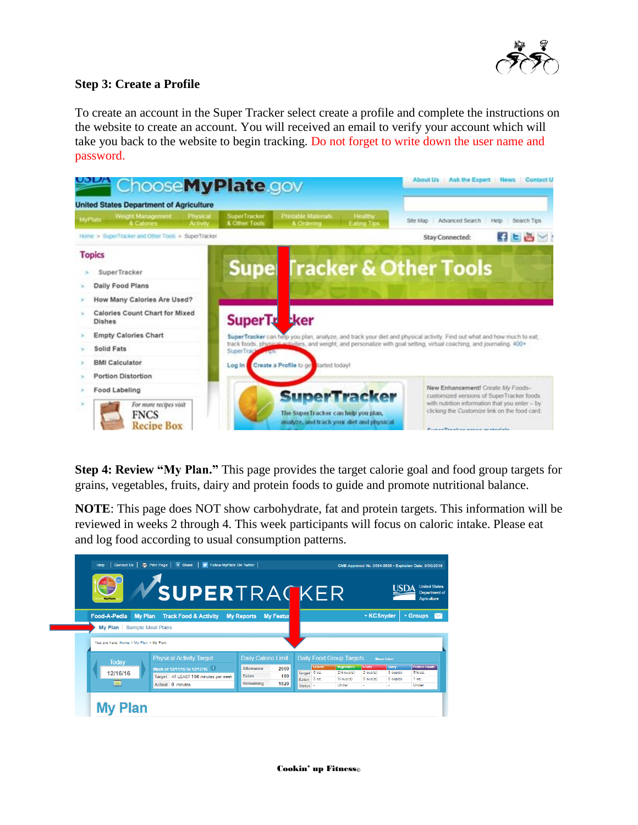

## **Step 3: Create a Profile**

To create an account in the Super Tracker select create a profile and complete the instructions on the website to create an account. You will received an email to verify your account which will take you back to the website to begin tracking. Do not forget to write down the user name and password.



**Step 4: Review "My Plan."** This page provides the target calorie goal and food group targets for grains, vegetables, fruits, dairy and protein foods to guide and promote nutritional balance.

**NOTE**: This page does NOT show carbohydrate, fat and protein targets. This information will be reviewed in weeks 2 through 4. This week participants will focus on caloric intake. Please eat and log food according to usual consumption patterns.

| Contact Us<br>Help                                      | Print Page   + Share   V Follow MyPlate On Twitter<br><b>VSUPERTRACKER</b>                                                    |                                                                                      |                                                                                      |                                                              |                                               | OMB Approved No. 0584-0535 - Expiration Date: 9/30/2018<br>USD/ | <b>United States</b><br><b>Department of</b><br><b>Agriculture</b> |  |
|---------------------------------------------------------|-------------------------------------------------------------------------------------------------------------------------------|--------------------------------------------------------------------------------------|--------------------------------------------------------------------------------------|--------------------------------------------------------------|-----------------------------------------------|-----------------------------------------------------------------|--------------------------------------------------------------------|--|
| Food-A-Pedia<br>My Plan<br>Sample Meal Plans<br>My Plan | <b>Track Food &amp; Activity</b>                                                                                              | <b>My Reports</b><br><b>My Featur</b>                                                |                                                                                      |                                                              | ▼ KCSnyder                                    |                                                                 | ▼ Groups                                                           |  |
| You are here: Home > My Plan > My Plan                  |                                                                                                                               |                                                                                      |                                                                                      |                                                              |                                               |                                                                 |                                                                    |  |
| <b>Today</b><br>12/16/16<br><b>HHI</b>                  | <b>Physical Activity Target</b><br>Week of 12/11/16 to 12/17/16 1<br>Target AT LEAST 150 minutes per week<br>Actual 0 minutes | <b>Daily Calorie Limit</b><br>Allowance<br>2000<br>Faten<br>180<br>Remaining<br>1820 | <b>Daily Food Group Targets</b><br>Grains<br>Target 6 oz.<br>Eaten 0 oz.<br>Status - | Vegetables<br>$2\frac{1}{2}$ cup(s)<br>$1/2$ cup(s)<br>Under | <b>Fruits</b><br>$2$ cup( $s$ )<br>$0$ cup(s) | More Info><br>Dairy<br>$3$ cup( $s$ )<br>$0$ cup(s)             | <b>Protein Foods</b><br>516 oz.<br>1 <sub>oz</sub><br>Under        |  |
| <b>My Plan</b>                                          |                                                                                                                               |                                                                                      |                                                                                      |                                                              |                                               |                                                                 |                                                                    |  |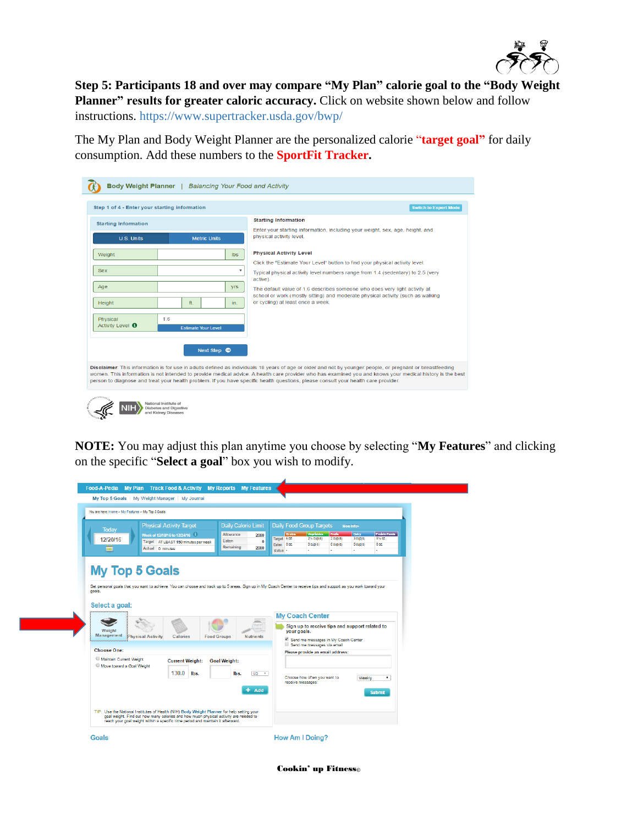

**Step 5: Participants 18 and over may compare "My Plan" calorie goal to the "Body Weight Planner"** results for greater caloric accuracy. Click on website shown below and follow instructions. <https://www.supertracker.usda.gov/bwp/>

The My Plan and Body Weight Planner are the personalized calorie "**target goal"** for daily consumption. Add these numbers to the **SportFit Tracker.**

| <b>Starting Information</b><br><b>Starting Information</b><br>Enter your starting information, including your weight, sex, age, height, and<br>physical activity level.<br><b>U.S. Units</b><br><b>Metric Units</b><br><b>Physical Activity Level</b><br>Weight<br><b>Ibs</b><br>Click the "Estimate Your Level" button to find your physical activity level.<br><b>Sex</b><br>$\overline{\mathbf{v}}$<br>Typical physical activity level numbers range from 1.4 (sedentary) to 2.5 (very<br>active).<br>Age<br><b>yrs</b><br>The default value of 1.6 describes someone who does very light activity at<br>school or work (mostly sitting) and moderate physical activity (such as walking<br>or cycling) at least once a week.<br>Height<br>ft.<br>in.<br>1.6<br>Physical<br>Activity Level <sup>O</sup><br><b>Estimate Your Level</b> |  |  |
|------------------------------------------------------------------------------------------------------------------------------------------------------------------------------------------------------------------------------------------------------------------------------------------------------------------------------------------------------------------------------------------------------------------------------------------------------------------------------------------------------------------------------------------------------------------------------------------------------------------------------------------------------------------------------------------------------------------------------------------------------------------------------------------------------------------------------------------|--|--|
|                                                                                                                                                                                                                                                                                                                                                                                                                                                                                                                                                                                                                                                                                                                                                                                                                                          |  |  |
|                                                                                                                                                                                                                                                                                                                                                                                                                                                                                                                                                                                                                                                                                                                                                                                                                                          |  |  |
|                                                                                                                                                                                                                                                                                                                                                                                                                                                                                                                                                                                                                                                                                                                                                                                                                                          |  |  |
|                                                                                                                                                                                                                                                                                                                                                                                                                                                                                                                                                                                                                                                                                                                                                                                                                                          |  |  |
|                                                                                                                                                                                                                                                                                                                                                                                                                                                                                                                                                                                                                                                                                                                                                                                                                                          |  |  |
|                                                                                                                                                                                                                                                                                                                                                                                                                                                                                                                                                                                                                                                                                                                                                                                                                                          |  |  |
|                                                                                                                                                                                                                                                                                                                                                                                                                                                                                                                                                                                                                                                                                                                                                                                                                                          |  |  |
|                                                                                                                                                                                                                                                                                                                                                                                                                                                                                                                                                                                                                                                                                                                                                                                                                                          |  |  |
|                                                                                                                                                                                                                                                                                                                                                                                                                                                                                                                                                                                                                                                                                                                                                                                                                                          |  |  |
|                                                                                                                                                                                                                                                                                                                                                                                                                                                                                                                                                                                                                                                                                                                                                                                                                                          |  |  |
| Next Step $\bullet$                                                                                                                                                                                                                                                                                                                                                                                                                                                                                                                                                                                                                                                                                                                                                                                                                      |  |  |

**NOTE:** You may adjust this plan anytime you choose by selecting "**My Features**" and clicking on the specific "**Select a goal**" box you wish to modify.

| You are here: Home > My Features > My Top 5 Goals            |                                                                                                                               |                                                                                           |                                                                                                                                                                                                                                                                                             |
|--------------------------------------------------------------|-------------------------------------------------------------------------------------------------------------------------------|-------------------------------------------------------------------------------------------|---------------------------------------------------------------------------------------------------------------------------------------------------------------------------------------------------------------------------------------------------------------------------------------------|
| Todav<br>12/20/16<br><b>HH</b>                               | <b>Physical Activity Target</b><br>Week of 12/18/16 to 12/24/16 1<br>Target AT LEAST 150 minutes per week<br>Actual 0 minutes | <b>Daily Calorie Limit</b><br>Allowance<br>2000<br>Eaten<br>$\bf{0}$<br>Remaining<br>2000 | <b>Daily Food Group Targets</b><br>More info><br>Profein Foods<br>Vegetables<br><b>Orains</b><br><b>Fruits</b><br>Dalry<br>Target 6 cz.<br>$2$ cup( $6$ )<br>$3$ cup( $6$ )<br>5% oz.<br>$2\%$ cup(s)<br>Eaten 0 oz.<br>$0$ cup( $s$ )<br>$0$ cup( $s$ )<br>$0$ cup(s)<br>0 oz.<br>Status - |
| goals.                                                       |                                                                                                                               |                                                                                           | Set personal goals that you want to achieve. You can choose and track up to 5 areas. Sign up in My Coach Center to receive tips and support as you work toward your                                                                                                                         |
| Select a goal:<br>Weight<br>Management<br><b>Choose One:</b> | Physical Activity<br><b>Calories</b>                                                                                          | <b>Food Groups</b><br><b>Nutrients</b>                                                    | <b>My Coach Center</b><br>Sign up to receive tips and support related to<br>your goals.<br>Send me messages in My Coach Center<br>Send me messages via email<br>Please provide an email address:                                                                                            |

Cookin' up Fitness©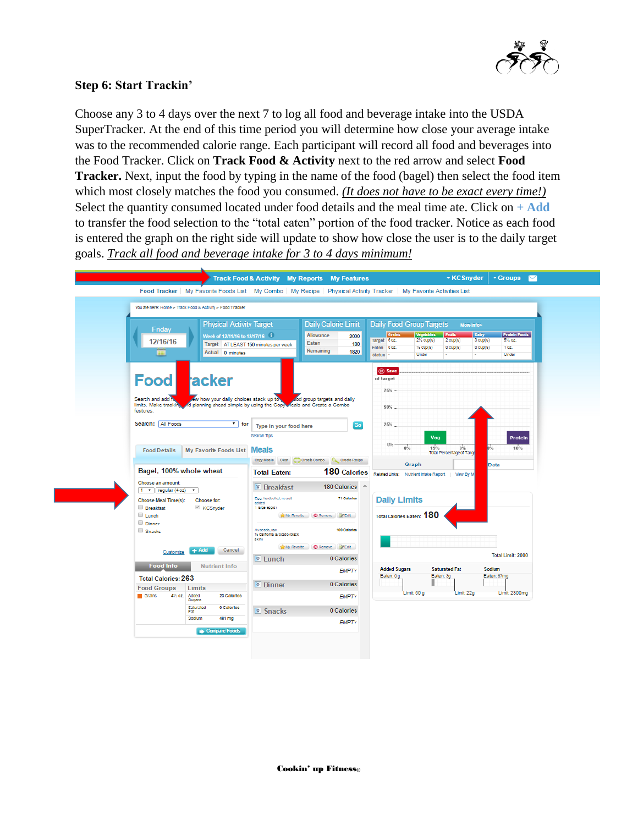

## **Step 6: Start Trackin'**

Choose any 3 to 4 days over the next 7 to log all food and beverage intake into the USDA SuperTracker. At the end of this time period you will determine how close your average intake was to the recommended calorie range. Each participant will record all food and beverages into the Food Tracker. Click on **Track Food & Activity** next to the red arrow and select **Food Tracker.** Next, input the food by typing in the name of the food (bagel) then select the food item which most closely matches the food you consumed. *(It does not have to be exact every time!)* Select the quantity consumed located under food details and the meal time ate. Click on **+ Add** to transfer the food selection to the "total eaten" portion of the food tracker. Notice as each food is entered the graph on the right side will update to show how close the user is to the daily target goals. *Track all food and beverage intake for 3 to 4 days minimum!*

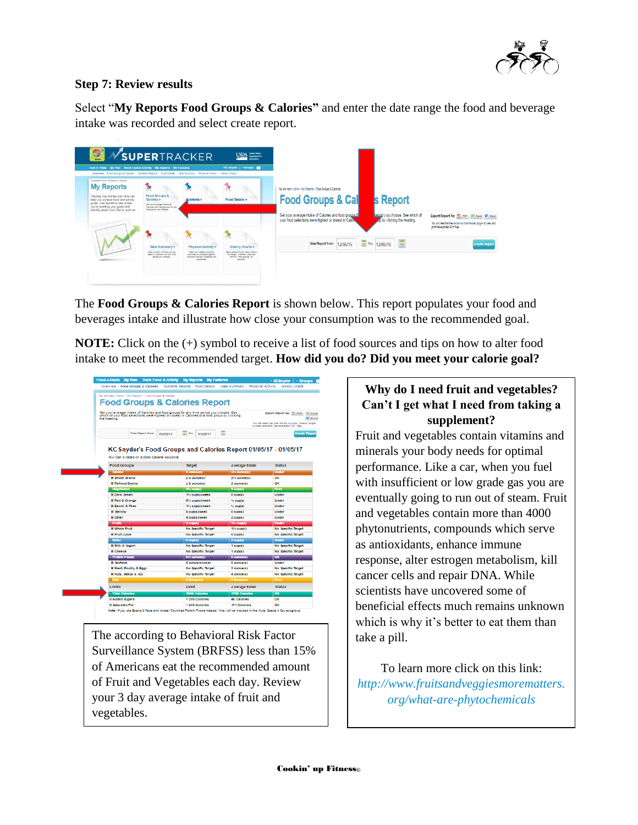

## **Step 7: Review results**

Select "**My Reports Food Groups & Calories"** and enter the date range the food and beverage intake was recorded and select create report.



The **Food Groups & Calories Report** is shown below. This report populates your food and beverages intake and illustrate how close your consumption was to the recommended goal.

**NOTE:** Click on the (+) symbol to receive a list of food sources and tips on how to alter food intake to meet the recommended target. **How did you do? Did you meet your calorie goal?**

| Food-A-Pedia My Plan Track Food & Activity My Reports My Features<br>Overview   Food Groups & Calories   Nutrients Reports   Food Details   Meal Summary   Physical Activity   History Charts |                                                                                  |                          | - Groups &<br>- KC Snyder                             |
|-----------------------------------------------------------------------------------------------------------------------------------------------------------------------------------------------|----------------------------------------------------------------------------------|--------------------------|-------------------------------------------------------|
|                                                                                                                                                                                               |                                                                                  |                          |                                                       |
| You are here: Home > My Reports > Food Groups & Calories                                                                                                                                      |                                                                                  |                          |                                                       |
| <b>Food Groups &amp; Calories Report</b>                                                                                                                                                      |                                                                                  |                          |                                                       |
|                                                                                                                                                                                               |                                                                                  |                          |                                                       |
| Get your average intake of Calories and food groups for any time period you choose. See<br>which of your food selections were highest or lowest in Calories or a food group by clicking       |                                                                                  |                          | Export Report As: 17 PDF X Excel                      |
| the heading.                                                                                                                                                                                  |                                                                                  |                          | You will react the free Actobe Acrobal Reader plug-in |
|                                                                                                                                                                                               |                                                                                  |                          | to year and print the sopported PLP files.            |
| <b>View Report from</b>                                                                                                                                                                       | iii. In:<br>01/05/17<br>01/05/17                                                 | m                        | <b>Create Report</b>                                  |
|                                                                                                                                                                                               |                                                                                  |                          |                                                       |
| Your plan is based on a 2000 Callorle alowance.<br><b>Food Groups</b>                                                                                                                         | KC Snyder's Food Groups and Calories Report 01/05/17 - 01/05/17<br><b>Target</b> | <b>Average Eaten</b>     | <b>Status</b>                                         |
| <b>E</b> Grains                                                                                                                                                                               | B ourse(c)                                                                       | 455 oumon(c)             | Under                                                 |
| <b>III Whole Orains</b>                                                                                                                                                                       | 2.3 ounce(s)                                                                     | 2% ounce(c)              | oк                                                    |
| <b>El Refined Grains</b>                                                                                                                                                                      | $\leq 3$ ounce(c)                                                                | 2 ounce(s)               | OK.                                                   |
| <b>C</b> Vegetables                                                                                                                                                                           | $2\%$ oup(c)                                                                     | $3$ oup( $\epsilon$ )    | Over                                                  |
| <b>III Dark Green</b>                                                                                                                                                                         | 115 ougleWweek                                                                   | $0$ oup( $t$ )           | <b>Under</b>                                          |
| <b>BI Red &amp; Orange</b>                                                                                                                                                                    | <b>615 oup(s)/week</b>                                                           | $%$ oup(c)               | Under                                                 |
| <b>El Beans &amp; Peac</b>                                                                                                                                                                    | 115 ougleWwook                                                                   | 15 oup(c)                | <b>Under</b>                                          |
| <b>Hi Starohy</b>                                                                                                                                                                             | 6 oup(s)/week                                                                    | 0 oup(c)                 | Under                                                 |
| El Other                                                                                                                                                                                      | 4 oug/s/week                                                                     | 2 oup(c)                 | Under                                                 |
| 8 Fruits                                                                                                                                                                                      | 2 oug(s)                                                                         | 155 ougds)               | Under                                                 |
| <b>III Whole Fruit</b>                                                                                                                                                                        | No Specific Target                                                               | 1% oup(c)                | No Specific Target                                    |
| <b>HI Fruit Jules</b>                                                                                                                                                                         | No Specific Target                                                               | 0 oup(s)                 | No Specific Target                                    |
| <b>E Dairy</b>                                                                                                                                                                                | $3$ oup( $s$ )                                                                   | $2$ oup( $\varepsilon$ ) | Under                                                 |
| <b>BLMIIk &amp; Vocurt</b>                                                                                                                                                                    | No Specific Target                                                               | $1$ oup( $t$ )           | No Specific Target                                    |
| <b>III</b> Cheese                                                                                                                                                                             | No Specific Target                                                               | 1 oup(c)                 | No Specific Target                                    |
| <b>C Profelin Foods</b>                                                                                                                                                                       | 6% ounce(s)                                                                      | <b>8 ounce(s)</b>        | $\alpha$                                              |
| El Seafood                                                                                                                                                                                    | 8 ounce/cl/week                                                                  | 0 ounce(c)               | Under                                                 |
| <b>BI Meat, Poultry &amp; Eggs</b>                                                                                                                                                            | No Specific Target                                                               | $2$ ounce(s)             | No Specific Target                                    |
| El Nuts, Seeds & Sov                                                                                                                                                                          | No Specific Target                                                               | 4 ounce(c)               | No Specific Target                                    |
| <b>RICHE</b>                                                                                                                                                                                  | 8 feaspoon                                                                       | 9 teaspoon               | Over                                                  |
| Limits                                                                                                                                                                                        | Limit                                                                            | <b>Average Eaten</b>     | <b>Status</b>                                         |
| <b>B Total Calories</b>                                                                                                                                                                       | 2000 Calories                                                                    | 1789 Calories            | OK                                                    |
|                                                                                                                                                                                               |                                                                                  |                          |                                                       |
| E Added Sugars                                                                                                                                                                                | < 200 Calories                                                                   | 46 Calories              | OK                                                    |

The according to Behavioral Risk Factor Surveillance System (BRFSS) less than 15% of Americans eat the recommended amount of Fruit and Vegetables each day. Review your 3 day average intake of fruit and vegetables.

# **Why do I need fruit and vegetables? Can't I get what I need from taking a supplement?**

Fruit and vegetables contain vitamins and minerals your body needs for optimal performance. Like a car, when you fuel with insufficient or low grade gas you are eventually going to run out of steam. Fruit and vegetables contain more than 4000 phytonutrients, compounds which serve as antioxidants, enhance immune response, alter estrogen metabolism, kill cancer cells and repair DNA. While scientists have uncovered some of beneficial effects much remains unknown which is why it's better to eat them than take a pill.

To learn more click on this link: *[http://www.fruitsandveggiesmorematters.](http://www.fruitsandveggiesmorematters.org/what-are-phytochemicals) [org/what-are-phytochemicals](http://www.fruitsandveggiesmorematters.org/what-are-phytochemicals)*